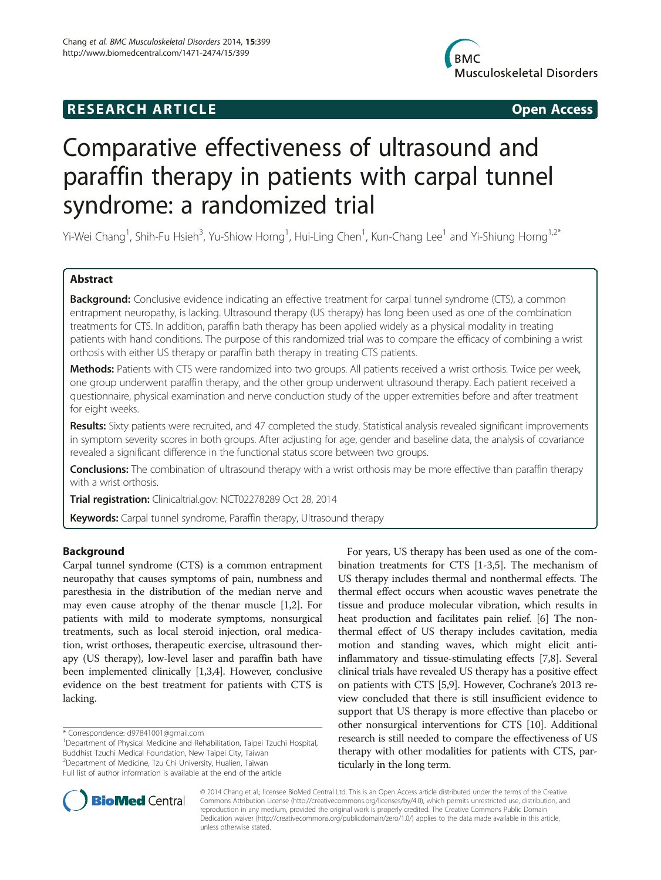# **RESEARCH ARTICLE Example 2014 CONSIDERING CONSIDERING CONSIDERING CONSIDERING CONSIDERING CONSIDERING CONSIDERING CONSIDERING CONSIDERING CONSIDERING CONSIDERING CONSIDERING CONSIDERING CONSIDERING CONSIDERING CONSIDE**



# Comparative effectiveness of ultrasound and paraffin therapy in patients with carpal tunnel syndrome: a randomized trial

Yi-Wei Chang<sup>1</sup>, Shih-Fu Hsieh<sup>3</sup>, Yu-Shiow Horng<sup>1</sup>, Hui-Ling Chen<sup>1</sup>, Kun-Chang Lee<sup>1</sup> and Yi-Shiung Horng<sup>1,2\*</sup>

# Abstract

Background: Conclusive evidence indicating an effective treatment for carpal tunnel syndrome (CTS), a common entrapment neuropathy, is lacking. Ultrasound therapy (US therapy) has long been used as one of the combination treatments for CTS. In addition, paraffin bath therapy has been applied widely as a physical modality in treating patients with hand conditions. The purpose of this randomized trial was to compare the efficacy of combining a wrist orthosis with either US therapy or paraffin bath therapy in treating CTS patients.

Methods: Patients with CTS were randomized into two groups. All patients received a wrist orthosis. Twice per week, one group underwent paraffin therapy, and the other group underwent ultrasound therapy. Each patient received a questionnaire, physical examination and nerve conduction study of the upper extremities before and after treatment for eight weeks.

Results: Sixty patients were recruited, and 47 completed the study. Statistical analysis revealed significant improvements in symptom severity scores in both groups. After adjusting for age, gender and baseline data, the analysis of covariance revealed a significant difference in the functional status score between two groups.

Conclusions: The combination of ultrasound therapy with a wrist orthosis may be more effective than paraffin therapy with a wrist orthosis.

Trial registration: Clinicaltrial.gov: [NCT02278289](http://clinicaltrials.gov/show/NCT02278289) Oct 28, 2014

Keywords: Carpal tunnel syndrome, Paraffin therapy, Ultrasound therapy

# **Background**

Carpal tunnel syndrome (CTS) is a common entrapment neuropathy that causes symptoms of pain, numbness and paresthesia in the distribution of the median nerve and may even cause atrophy of the thenar muscle [[1,2](#page-6-0)]. For patients with mild to moderate symptoms, nonsurgical treatments, such as local steroid injection, oral medication, wrist orthoses, therapeutic exercise, ultrasound therapy (US therapy), low-level laser and paraffin bath have been implemented clinically [\[1,3,4\]](#page-6-0). However, conclusive evidence on the best treatment for patients with CTS is lacking.

Department of Physical Medicine and Rehabilitation, Taipei Tzuchi Hospital, Buddhist Tzuchi Medical Foundation, New Taipei City, Taiwan 2 Department of Medicine, Tzu Chi University, Hualien, Taiwan

For years, US therapy has been used as one of the combination treatments for CTS [[1-3,5\]](#page-6-0). The mechanism of US therapy includes thermal and nonthermal effects. The thermal effect occurs when acoustic waves penetrate the tissue and produce molecular vibration, which results in heat production and facilitates pain relief. [[6\]](#page-6-0) The nonthermal effect of US therapy includes cavitation, media motion and standing waves, which might elicit antiinflammatory and tissue-stimulating effects [\[7,8\]](#page-6-0). Several clinical trials have revealed US therapy has a positive effect on patients with CTS [[5,9](#page-6-0)]. However, Cochrane's 2013 review concluded that there is still insufficient evidence to support that US therapy is more effective than placebo or other nonsurgical interventions for CTS [\[10](#page-6-0)]. Additional research is still needed to compare the effectiveness of US therapy with other modalities for patients with CTS, particularly in the long term.



© 2014 Chang et al.; licensee BioMed Central Ltd. This is an Open Access article distributed under the terms of the Creative Commons Attribution License [\(http://creativecommons.org/licenses/by/4.0\)](http://creativecommons.org/licenses/by/4.0), which permits unrestricted use, distribution, and reproduction in any medium, provided the original work is properly credited. The Creative Commons Public Domain Dedication waiver [\(http://creativecommons.org/publicdomain/zero/1.0/](http://creativecommons.org/publicdomain/zero/1.0/)) applies to the data made available in this article, unless otherwise stated.

<sup>\*</sup> Correspondence: [d97841001@gmail.com](mailto:d97841001@gmail.com) <sup>1</sup>

Full list of author information is available at the end of the article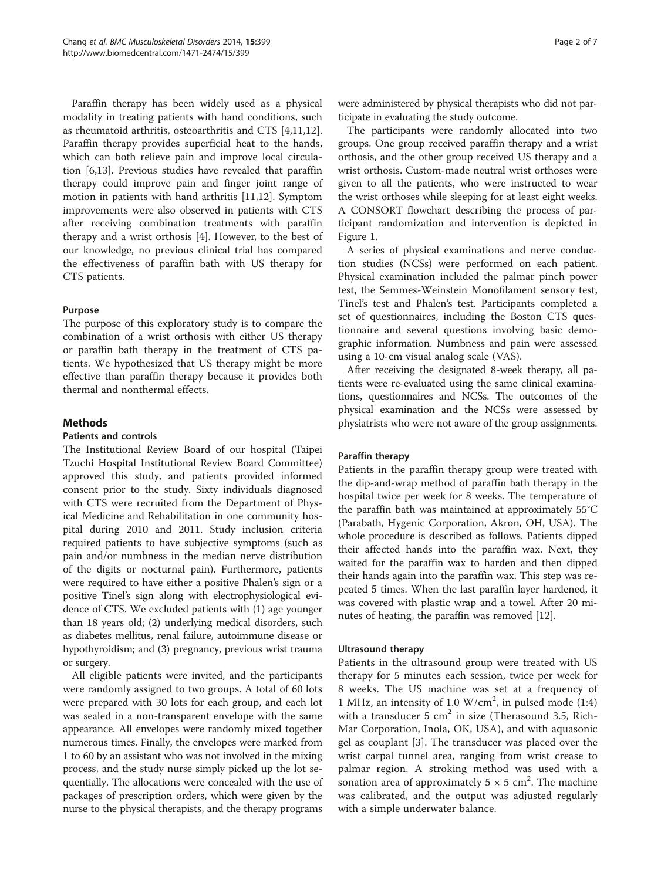Paraffin therapy has been widely used as a physical modality in treating patients with hand conditions, such as rheumatoid arthritis, osteoarthritis and CTS [\[4,11,12](#page-6-0)]. Paraffin therapy provides superficial heat to the hands, which can both relieve pain and improve local circulation [\[6,13](#page-6-0)]. Previous studies have revealed that paraffin therapy could improve pain and finger joint range of motion in patients with hand arthritis [[11,12\]](#page-6-0). Symptom improvements were also observed in patients with CTS after receiving combination treatments with paraffin therapy and a wrist orthosis [[4](#page-6-0)]. However, to the best of our knowledge, no previous clinical trial has compared the effectiveness of paraffin bath with US therapy for CTS patients.

#### Purpose

The purpose of this exploratory study is to compare the combination of a wrist orthosis with either US therapy or paraffin bath therapy in the treatment of CTS patients. We hypothesized that US therapy might be more effective than paraffin therapy because it provides both thermal and nonthermal effects.

## **Methods**

#### Patients and controls

The Institutional Review Board of our hospital (Taipei Tzuchi Hospital Institutional Review Board Committee) approved this study, and patients provided informed consent prior to the study. Sixty individuals diagnosed with CTS were recruited from the Department of Physical Medicine and Rehabilitation in one community hospital during 2010 and 2011. Study inclusion criteria required patients to have subjective symptoms (such as pain and/or numbness in the median nerve distribution of the digits or nocturnal pain). Furthermore, patients were required to have either a positive Phalen's sign or a positive Tinel's sign along with electrophysiological evidence of CTS. We excluded patients with (1) age younger than 18 years old; (2) underlying medical disorders, such as diabetes mellitus, renal failure, autoimmune disease or hypothyroidism; and (3) pregnancy, previous wrist trauma or surgery.

All eligible patients were invited, and the participants were randomly assigned to two groups. A total of 60 lots were prepared with 30 lots for each group, and each lot was sealed in a non-transparent envelope with the same appearance. All envelopes were randomly mixed together numerous times. Finally, the envelopes were marked from 1 to 60 by an assistant who was not involved in the mixing process, and the study nurse simply picked up the lot sequentially. The allocations were concealed with the use of packages of prescription orders, which were given by the nurse to the physical therapists, and the therapy programs were administered by physical therapists who did not participate in evaluating the study outcome.

The participants were randomly allocated into two groups. One group received paraffin therapy and a wrist orthosis, and the other group received US therapy and a wrist orthosis. Custom-made neutral wrist orthoses were given to all the patients, who were instructed to wear the wrist orthoses while sleeping for at least eight weeks. A CONSORT flowchart describing the process of participant randomization and intervention is depicted in Figure [1](#page-2-0).

A series of physical examinations and nerve conduction studies (NCSs) were performed on each patient. Physical examination included the palmar pinch power test, the Semmes-Weinstein Monofilament sensory test, Tinel's test and Phalen's test. Participants completed a set of questionnaires, including the Boston CTS questionnaire and several questions involving basic demographic information. Numbness and pain were assessed using a 10-cm visual analog scale (VAS).

After receiving the designated 8-week therapy, all patients were re-evaluated using the same clinical examinations, questionnaires and NCSs. The outcomes of the physical examination and the NCSs were assessed by physiatrists who were not aware of the group assignments.

#### Paraffin therapy

Patients in the paraffin therapy group were treated with the dip-and-wrap method of paraffin bath therapy in the hospital twice per week for 8 weeks. The temperature of the paraffin bath was maintained at approximately 55°C (Parabath, Hygenic Corporation, Akron, OH, USA). The whole procedure is described as follows. Patients dipped their affected hands into the paraffin wax. Next, they waited for the paraffin wax to harden and then dipped their hands again into the paraffin wax. This step was repeated 5 times. When the last paraffin layer hardened, it was covered with plastic wrap and a towel. After 20 minutes of heating, the paraffin was removed [[12\]](#page-6-0).

#### Ultrasound therapy

Patients in the ultrasound group were treated with US therapy for 5 minutes each session, twice per week for 8 weeks. The US machine was set at a frequency of 1 MHz, an intensity of 1.0  $W/cm<sup>2</sup>$ , in pulsed mode (1:4) with a transducer 5  $\text{cm}^2$  in size (Therasound 3.5, Rich-Mar Corporation, Inola, OK, USA), and with aquasonic gel as couplant [\[3](#page-6-0)]. The transducer was placed over the wrist carpal tunnel area, ranging from wrist crease to palmar region. A stroking method was used with a sonation area of approximately  $5 \times 5$  cm<sup>2</sup>. The machine was calibrated, and the output was adjusted regularly with a simple underwater balance.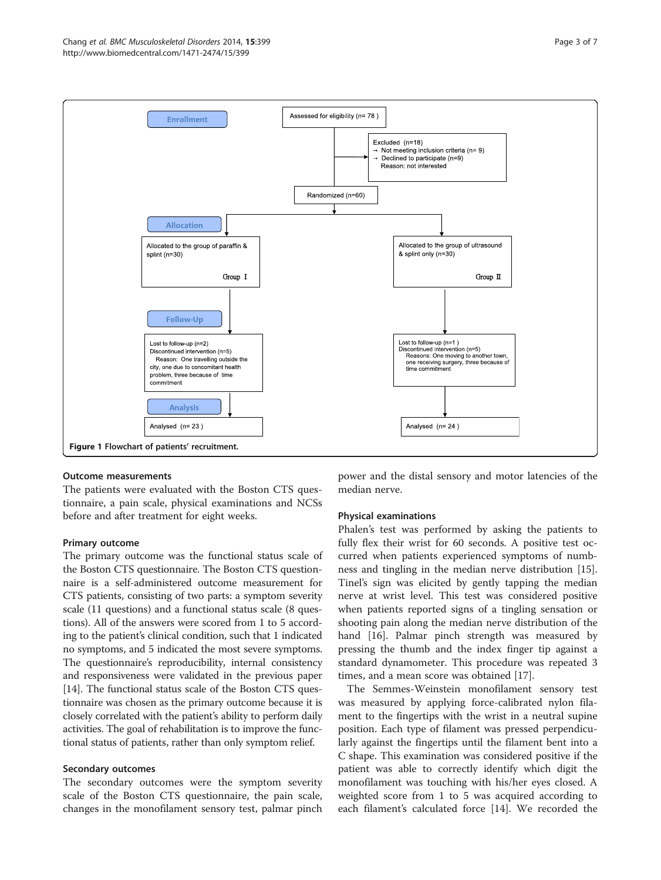<span id="page-2-0"></span>

#### Outcome measurements

The patients were evaluated with the Boston CTS questionnaire, a pain scale, physical examinations and NCSs before and after treatment for eight weeks.

#### Primary outcome

The primary outcome was the functional status scale of the Boston CTS questionnaire. The Boston CTS questionnaire is a self-administered outcome measurement for CTS patients, consisting of two parts: a symptom severity scale (11 questions) and a functional status scale (8 questions). All of the answers were scored from 1 to 5 according to the patient's clinical condition, such that 1 indicated no symptoms, and 5 indicated the most severe symptoms. The questionnaire's reproducibility, internal consistency and responsiveness were validated in the previous paper [[14](#page-6-0)]. The functional status scale of the Boston CTS questionnaire was chosen as the primary outcome because it is closely correlated with the patient's ability to perform daily activities. The goal of rehabilitation is to improve the functional status of patients, rather than only symptom relief.

#### Secondary outcomes

The secondary outcomes were the symptom severity scale of the Boston CTS questionnaire, the pain scale, changes in the monofilament sensory test, palmar pinch power and the distal sensory and motor latencies of the median nerve.

#### Physical examinations

Phalen's test was performed by asking the patients to fully flex their wrist for 60 seconds. A positive test occurred when patients experienced symptoms of numbness and tingling in the median nerve distribution [\[15](#page-6-0)]. Tinel's sign was elicited by gently tapping the median nerve at wrist level. This test was considered positive when patients reported signs of a tingling sensation or shooting pain along the median nerve distribution of the hand [[16\]](#page-6-0). Palmar pinch strength was measured by pressing the thumb and the index finger tip against a standard dynamometer. This procedure was repeated 3 times, and a mean score was obtained [[17](#page-6-0)].

The Semmes-Weinstein monofilament sensory test was measured by applying force-calibrated nylon filament to the fingertips with the wrist in a neutral supine position. Each type of filament was pressed perpendicularly against the fingertips until the filament bent into a C shape. This examination was considered positive if the patient was able to correctly identify which digit the monofilament was touching with his/her eyes closed. A weighted score from 1 to 5 was acquired according to each filament's calculated force [[14](#page-6-0)]. We recorded the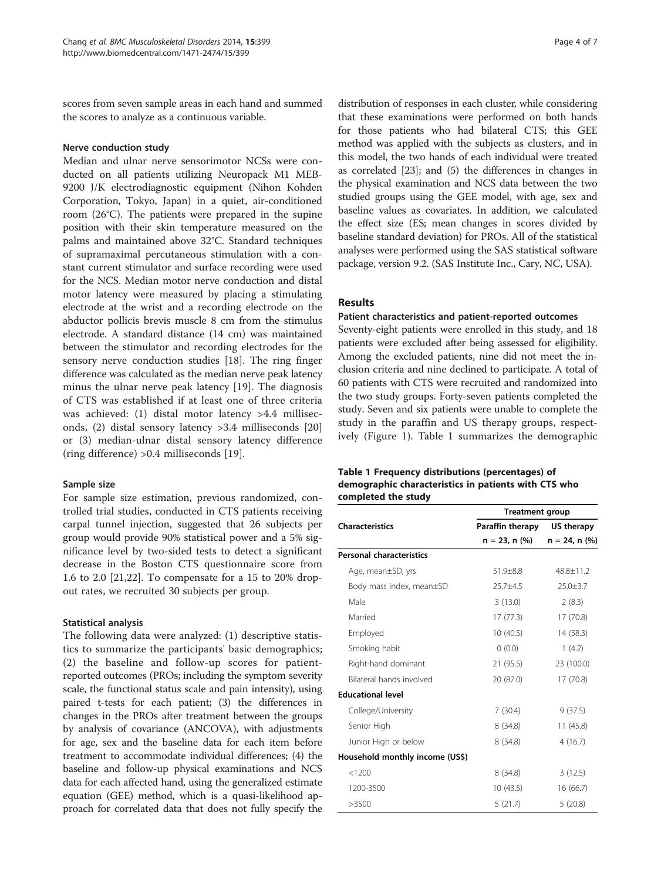<span id="page-3-0"></span>scores from seven sample areas in each hand and summed the scores to analyze as a continuous variable.

#### Nerve conduction study

Median and ulnar nerve sensorimotor NCSs were conducted on all patients utilizing Neuropack M1 MEB-9200 J/K electrodiagnostic equipment (Nihon Kohden Corporation, Tokyo, Japan) in a quiet, air-conditioned room (26°C). The patients were prepared in the supine position with their skin temperature measured on the palms and maintained above 32°C. Standard techniques of supramaximal percutaneous stimulation with a constant current stimulator and surface recording were used for the NCS. Median motor nerve conduction and distal motor latency were measured by placing a stimulating electrode at the wrist and a recording electrode on the abductor pollicis brevis muscle 8 cm from the stimulus electrode. A standard distance (14 cm) was maintained between the stimulator and recording electrodes for the sensory nerve conduction studies [[18](#page-6-0)]. The ring finger difference was calculated as the median nerve peak latency minus the ulnar nerve peak latency [\[19](#page-6-0)]. The diagnosis of CTS was established if at least one of three criteria was achieved: (1) distal motor latency >4.4 milliseconds, (2) distal sensory latency >3.4 milliseconds [\[20](#page-6-0)] or (3) median-ulnar distal sensory latency difference (ring difference) >0.4 milliseconds [\[19](#page-6-0)].

## Sample size

For sample size estimation, previous randomized, controlled trial studies, conducted in CTS patients receiving carpal tunnel injection, suggested that 26 subjects per group would provide 90% statistical power and a 5% significance level by two-sided tests to detect a significant decrease in the Boston CTS questionnaire score from 1.6 to 2.0 [\[21,22](#page-6-0)]. To compensate for a 15 to 20% dropout rates, we recruited 30 subjects per group.

#### Statistical analysis

The following data were analyzed: (1) descriptive statistics to summarize the participants' basic demographics; (2) the baseline and follow-up scores for patientreported outcomes (PROs; including the symptom severity scale, the functional status scale and pain intensity), using paired t-tests for each patient; (3) the differences in changes in the PROs after treatment between the groups by analysis of covariance (ANCOVA), with adjustments for age, sex and the baseline data for each item before treatment to accommodate individual differences; (4) the baseline and follow-up physical examinations and NCS data for each affected hand, using the generalized estimate equation (GEE) method, which is a quasi-likelihood approach for correlated data that does not fully specify the

distribution of responses in each cluster, while considering that these examinations were performed on both hands for those patients who had bilateral CTS; this GEE method was applied with the subjects as clusters, and in this model, the two hands of each individual were treated as correlated [[23](#page-6-0)]; and (5) the differences in changes in the physical examination and NCS data between the two studied groups using the GEE model, with age, sex and baseline values as covariates. In addition, we calculated the effect size (ES; mean changes in scores divided by baseline standard deviation) for PROs. All of the statistical analyses were performed using the SAS statistical software package, version 9.2. (SAS Institute Inc., Cary, NC, USA).

## Results

#### Patient characteristics and patient-reported outcomes

Seventy-eight patients were enrolled in this study, and 18 patients were excluded after being assessed for eligibility. Among the excluded patients, nine did not meet the inclusion criteria and nine declined to participate. A total of 60 patients with CTS were recruited and randomized into the two study groups. Forty-seven patients completed the study. Seven and six patients were unable to complete the study in the paraffin and US therapy groups, respectively (Figure [1\)](#page-2-0). Table 1 summarizes the demographic

## Table 1 Frequency distributions (percentages) of demographic characteristics in patients with CTS who completed the study

|                                 | <b>Treatment group</b> |                                   |  |  |
|---------------------------------|------------------------|-----------------------------------|--|--|
| <b>Characteristics</b>          | Paraffin therapy       | US therapy<br>$n = 24$ , n $(\%)$ |  |  |
|                                 | $n = 23$ , n $(\%)$    |                                   |  |  |
| <b>Personal characteristics</b> |                        |                                   |  |  |
| Age, mean±SD, yrs               | $51.9 \pm 8.8$         | $48.8 + 11.2$                     |  |  |
| Body mass index, mean±SD        | $25.7 + 4.5$           | $25.0 \pm 3.7$                    |  |  |
| Male                            | 3(13.0)                | 2(8.3)                            |  |  |
| Married                         | 17(77.3)               | 17 (70.8)                         |  |  |
| Employed                        | 10(40.5)               | 14 (58.3)                         |  |  |
| Smoking habit                   | 0(0.0)                 | 1(4.2)                            |  |  |
| Right-hand dominant             | 21 (95.5)              | 23 (100.0)                        |  |  |
| Bilateral hands involved        | 20 (87.0)              | 17 (70.8)                         |  |  |
| <b>Educational level</b>        |                        |                                   |  |  |
| College/University              | 7(30.4)                | 9(37.5)                           |  |  |
| Senior High                     | 8(34.8)                | 11(45.8)                          |  |  |
| Junior High or below            | 8(34.8)                | 4(16.7)                           |  |  |
| Household monthly income (US\$) |                        |                                   |  |  |
| < 1200                          | 8 (34.8)               | 3(12.5)                           |  |  |
| 1200-3500                       | 10 (43.5)              | 16 (66.7)                         |  |  |
| >3500                           | 5(21.7)                | 5(20.8)                           |  |  |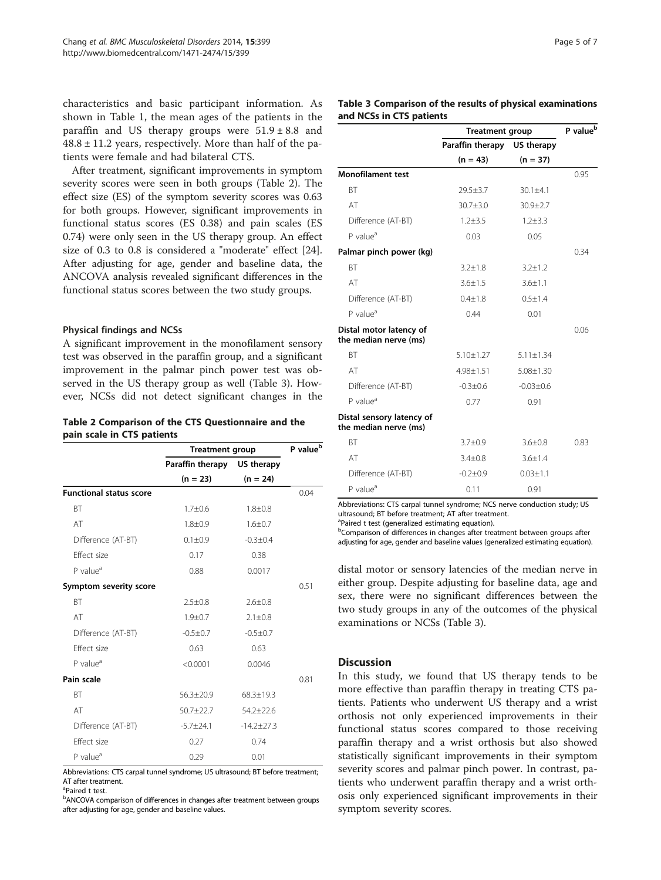characteristics and basic participant information. As shown in Table [1](#page-3-0), the mean ages of the patients in the paraffin and US therapy groups were  $51.9 \pm 8.8$  and  $48.8 \pm 11.2$  years, respectively. More than half of the patients were female and had bilateral CTS.

After treatment, significant improvements in symptom severity scores were seen in both groups (Table 2). The effect size (ES) of the symptom severity scores was 0.63 for both groups. However, significant improvements in functional status scores (ES 0.38) and pain scales (ES 0.74) were only seen in the US therapy group. An effect size of 0.3 to 0.8 is considered a "moderate" effect [\[24](#page-6-0)]. After adjusting for age, gender and baseline data, the ANCOVA analysis revealed significant differences in the functional status scores between the two study groups.

#### Physical findings and NCSs

A significant improvement in the monofilament sensory test was observed in the paraffin group, and a significant improvement in the palmar pinch power test was observed in the US therapy group as well (Table 3). However, NCSs did not detect significant changes in the

|                            |  | Table 2 Comparison of the CTS Questionnaire and the |  |
|----------------------------|--|-----------------------------------------------------|--|
| pain scale in CTS patients |  |                                                     |  |

|                                | <b>Treatment group</b> |                 | P value <sup>b</sup> |
|--------------------------------|------------------------|-----------------|----------------------|
|                                | Paraffin therapy       | US therapy      |                      |
|                                | $(n = 23)$             | $(n = 24)$      |                      |
| <b>Functional status score</b> |                        |                 | 0.04                 |
| <b>BT</b>                      | $1.7 + 0.6$            | $1.8 + 0.8$     |                      |
| AT                             | $1.8 + 0.9$            | $1.6 \pm 0.7$   |                      |
| Difference (AT-BT)             | $0.1 \pm 0.9$          | $-0.3 \pm 0.4$  |                      |
| <b>Fffect size</b>             | 0.17                   | 0.38            |                      |
| P value <sup>a</sup>           | 0.88                   | 0.0017          |                      |
| Symptom severity score         |                        |                 | 0.51                 |
| <b>BT</b>                      | $2.5 \pm 0.8$          | $2.6 \pm 0.8$   |                      |
| AT                             | $1.9 + 0.7$            | $2.1 \pm 0.8$   |                      |
| Difference (AT-BT)             | $-0.5 \pm 0.7$         | $-0.5 \pm 0.7$  |                      |
| <b>Fffect size</b>             | 0.63                   | 0.63            |                      |
| P value <sup>a</sup>           | < 0.0001               | 0.0046          |                      |
| Pain scale                     |                        |                 | 0.81                 |
| <b>BT</b>                      | $56.3 \pm 20.9$        | $68.3 \pm 19.3$ |                      |
| AT                             | $50.7 \pm 22.7$        | $54.2 \pm 22.6$ |                      |
| Difference (AT-BT)             | $-5.7 \pm 24.1$        | $-14.2 + 27.3$  |                      |
| Effect size                    | 0.27                   | 0.74            |                      |
| P value <sup>a</sup>           | 0.29                   | 0.01            |                      |

Abbreviations: CTS carpal tunnel syndrome; US ultrasound; BT before treatment; AT after treatment. <sup>a</sup>Paired t test.

<sup>b</sup>ANCOVA comparison of differences in changes after treatment between groups after adjusting for age, gender and baseline values.

| Table 3 Comparison of the results of physical examinations |  |  |
|------------------------------------------------------------|--|--|
| and NCSs in CTS patients                                   |  |  |

|                                                    | <b>Treatment group</b> |                 | P value <sup>b</sup> |
|----------------------------------------------------|------------------------|-----------------|----------------------|
|                                                    | Paraffin therapy       | US therapy      |                      |
|                                                    | $(n = 43)$             | $(n = 37)$      |                      |
| <b>Monofilament test</b>                           |                        |                 | 0.95                 |
| <b>BT</b>                                          | $29.5 \pm 3.7$         | $30.1 + 4.1$    |                      |
| AT                                                 | $30.7 + 3.0$           | $30.9 \pm 2.7$  |                      |
| Difference (AT-BT)                                 | $1.2 + 3.5$            | $1.2 + 3.3$     |                      |
| $P$ value <sup>a</sup>                             | 0.03                   | 0.05            |                      |
| Palmar pinch power (kg)                            |                        |                 | 0.34                 |
| <b>BT</b>                                          | $3.2 \pm 1.8$          | $3.2 \pm 1.2$   |                      |
| AT                                                 | $3.6 + 1.5$            | $3.6 + 1.1$     |                      |
| Difference (AT-BT)                                 | $0.4 \pm 1.8$          | $0.5 + 1.4$     |                      |
| $P$ value <sup>a</sup>                             | 0.44                   | 0.01            |                      |
| Distal motor latency of<br>the median nerve (ms)   |                        |                 | 0.06                 |
| <b>BT</b>                                          | $5.10 + 1.27$          | $5.11 + 1.34$   |                      |
| AT                                                 | $4.98 + 1.51$          | $5.08 + 1.30$   |                      |
| Difference (AT-BT)                                 | $-0.3 \pm 0.6$         | $-0.03 \pm 0.6$ |                      |
| $P$ value <sup>a</sup>                             | 0.77                   | 0.91            |                      |
| Distal sensory latency of<br>the median nerve (ms) |                        |                 |                      |
| BT                                                 | $3.7 \pm 0.9$          | $3.6 \pm 0.8$   | 0.83                 |
| AT                                                 | $3.4 \pm 0.8$          | $3.6 \pm 1.4$   |                      |
| Difference (AT-BT)                                 | $-0.2+0.9$             | $0.03 \pm 1.1$  |                      |
| $P$ value <sup>a</sup>                             | 0.11                   | 0.91            |                      |

Abbreviations: CTS carpal tunnel syndrome; NCS nerve conduction study; US ultrasound; BT before treatment; AT after treatment.

<sup>a</sup>Paired t test (generalized estimating equation).

**bComparison of differences in changes after treatment between groups after** adjusting for age, gender and baseline values (generalized estimating equation).

distal motor or sensory latencies of the median nerve in either group. Despite adjusting for baseline data, age and sex, there were no significant differences between the two study groups in any of the outcomes of the physical examinations or NCSs (Table 3).

#### **Discussion**

In this study, we found that US therapy tends to be more effective than paraffin therapy in treating CTS patients. Patients who underwent US therapy and a wrist orthosis not only experienced improvements in their functional status scores compared to those receiving paraffin therapy and a wrist orthosis but also showed statistically significant improvements in their symptom severity scores and palmar pinch power. In contrast, patients who underwent paraffin therapy and a wrist orthosis only experienced significant improvements in their symptom severity scores.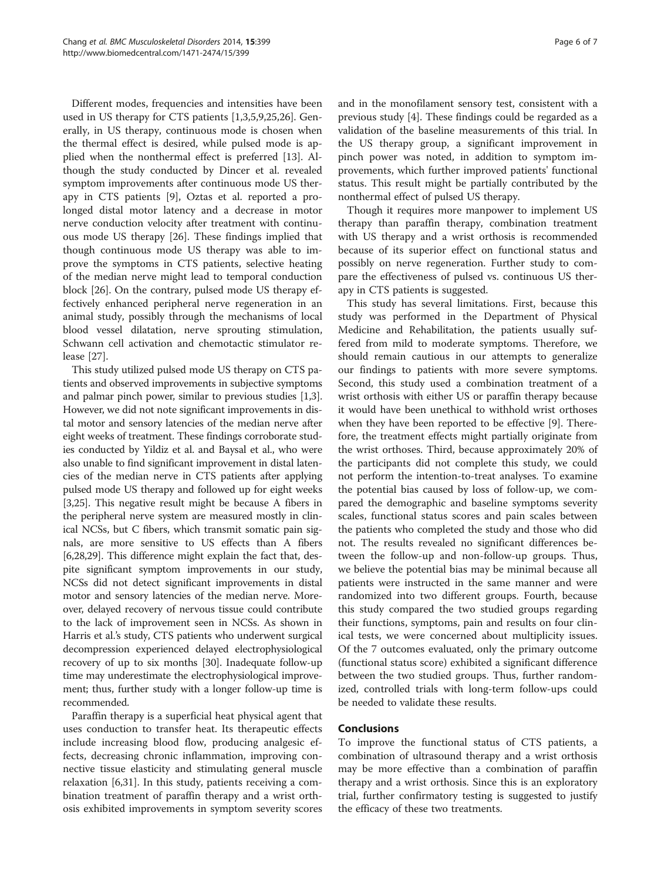Different modes, frequencies and intensities have been used in US therapy for CTS patients [[1,3,5,9,25,26\]](#page-6-0). Generally, in US therapy, continuous mode is chosen when the thermal effect is desired, while pulsed mode is applied when the nonthermal effect is preferred [\[13\]](#page-6-0). Although the study conducted by Dincer et al. revealed symptom improvements after continuous mode US therapy in CTS patients [[9\]](#page-6-0), Oztas et al. reported a prolonged distal motor latency and a decrease in motor nerve conduction velocity after treatment with continuous mode US therapy [[26\]](#page-6-0). These findings implied that though continuous mode US therapy was able to improve the symptoms in CTS patients, selective heating of the median nerve might lead to temporal conduction block [\[26\]](#page-6-0). On the contrary, pulsed mode US therapy effectively enhanced peripheral nerve regeneration in an animal study, possibly through the mechanisms of local blood vessel dilatation, nerve sprouting stimulation, Schwann cell activation and chemotactic stimulator release [\[27](#page-6-0)].

This study utilized pulsed mode US therapy on CTS patients and observed improvements in subjective symptoms and palmar pinch power, similar to previous studies [[1](#page-6-0),[3](#page-6-0)]. However, we did not note significant improvements in distal motor and sensory latencies of the median nerve after eight weeks of treatment. These findings corroborate studies conducted by Yildiz et al. and Baysal et al., who were also unable to find significant improvement in distal latencies of the median nerve in CTS patients after applying pulsed mode US therapy and followed up for eight weeks [[3,25](#page-6-0)]. This negative result might be because A fibers in the peripheral nerve system are measured mostly in clinical NCSs, but C fibers, which transmit somatic pain signals, are more sensitive to US effects than A fibers [[6,28,29\]](#page-6-0). This difference might explain the fact that, despite significant symptom improvements in our study, NCSs did not detect significant improvements in distal motor and sensory latencies of the median nerve. Moreover, delayed recovery of nervous tissue could contribute to the lack of improvement seen in NCSs. As shown in Harris et al.'s study, CTS patients who underwent surgical decompression experienced delayed electrophysiological recovery of up to six months [\[30\]](#page-6-0). Inadequate follow-up time may underestimate the electrophysiological improvement; thus, further study with a longer follow-up time is recommended.

Paraffin therapy is a superficial heat physical agent that uses conduction to transfer heat. Its therapeutic effects include increasing blood flow, producing analgesic effects, decreasing chronic inflammation, improving connective tissue elasticity and stimulating general muscle relaxation [[6,31\]](#page-6-0). In this study, patients receiving a combination treatment of paraffin therapy and a wrist orthosis exhibited improvements in symptom severity scores

and in the monofilament sensory test, consistent with a previous study [\[4](#page-6-0)]. These findings could be regarded as a validation of the baseline measurements of this trial. In the US therapy group, a significant improvement in pinch power was noted, in addition to symptom improvements, which further improved patients' functional status. This result might be partially contributed by the nonthermal effect of pulsed US therapy.

Though it requires more manpower to implement US therapy than paraffin therapy, combination treatment with US therapy and a wrist orthosis is recommended because of its superior effect on functional status and possibly on nerve regeneration. Further study to compare the effectiveness of pulsed vs. continuous US therapy in CTS patients is suggested.

This study has several limitations. First, because this study was performed in the Department of Physical Medicine and Rehabilitation, the patients usually suffered from mild to moderate symptoms. Therefore, we should remain cautious in our attempts to generalize our findings to patients with more severe symptoms. Second, this study used a combination treatment of a wrist orthosis with either US or paraffin therapy because it would have been unethical to withhold wrist orthoses when they have been reported to be effective [\[9](#page-6-0)]. Therefore, the treatment effects might partially originate from the wrist orthoses. Third, because approximately 20% of the participants did not complete this study, we could not perform the intention-to-treat analyses. To examine the potential bias caused by loss of follow-up, we compared the demographic and baseline symptoms severity scales, functional status scores and pain scales between the patients who completed the study and those who did not. The results revealed no significant differences between the follow-up and non-follow-up groups. Thus, we believe the potential bias may be minimal because all patients were instructed in the same manner and were randomized into two different groups. Fourth, because this study compared the two studied groups regarding their functions, symptoms, pain and results on four clinical tests, we were concerned about multiplicity issues. Of the 7 outcomes evaluated, only the primary outcome (functional status score) exhibited a significant difference between the two studied groups. Thus, further randomized, controlled trials with long-term follow-ups could be needed to validate these results.

# **Conclusions**

To improve the functional status of CTS patients, a combination of ultrasound therapy and a wrist orthosis may be more effective than a combination of paraffin therapy and a wrist orthosis. Since this is an exploratory trial, further confirmatory testing is suggested to justify the efficacy of these two treatments.